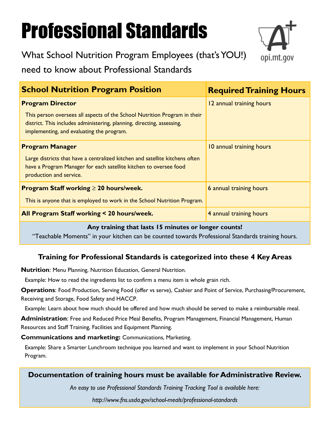# Professional Standards

opi.mt.gov

What School Nutrition Program Employees (that's YOU!)

need to know about Professional Standards

| <b>School Nutrition Program Position</b>                                                                                                                                                         | <b>Required Training Hours</b> |
|--------------------------------------------------------------------------------------------------------------------------------------------------------------------------------------------------|--------------------------------|
| <b>Program Director</b>                                                                                                                                                                          | 12 annual training hours       |
| This person oversees all aspects of the School Nutrition Program in their<br>district. This includes administering, planning, directing, assessing,<br>implementing, and evaluating the program. |                                |
| <b>Program Manager</b>                                                                                                                                                                           | 10 annual training hours       |
| Large districts that have a centralized kitchen and satellite kitchens often<br>have a Program Manager for each satellite kitchen to oversee food<br>production and service.                     |                                |
| <b>Program Staff working <math>\geq 20</math> hours/week.</b>                                                                                                                                    | 6 annual training hours        |
| This is anyone that is employed to work in the School Nutrition Program.                                                                                                                         |                                |
| All Program Staff working < 20 hours/week.                                                                                                                                                       | 4 annual training hours        |

#### **Any training that lasts 15 minutes or longer counts!**

"Teachable Moments" in your kitchen can be counted towards Professional Standards training hours.

### **Training for Professional Standards is categorized into these 4 Key Areas**

**Nutrition**: Menu Planning, Nutrition Education, General Nutrition.

Example: How to read the ingredients list to confirm a menu item is whole grain rich.

**Operations**: Food Production, Serving Food (offer vs serve), Cashier and Point of Service, Purchasing/Procurement, Receiving and Storage, Food Safety and HACCP.

Example: Learn about how much should be offered and how much should be served to make a reimbursable meal.

**Administration**: Free and Reduced Price Meal Benefits, Program Management, Financial Management, Human Resources and Staff Training, Facilities and Equipment Planning.

**Communications and marketing:** Communications, Marketing.

Example: Share a Smarter Lunchroom technique you learned and want to implement in your School Nutrition Program.

#### **Documentation of training hours must be available for Administrative Review.**

*An easy to use Professional Standards Training Tracking Tool is available here:* 

*<http://www.fns.usda.gov/school-meals/professional-standards>*